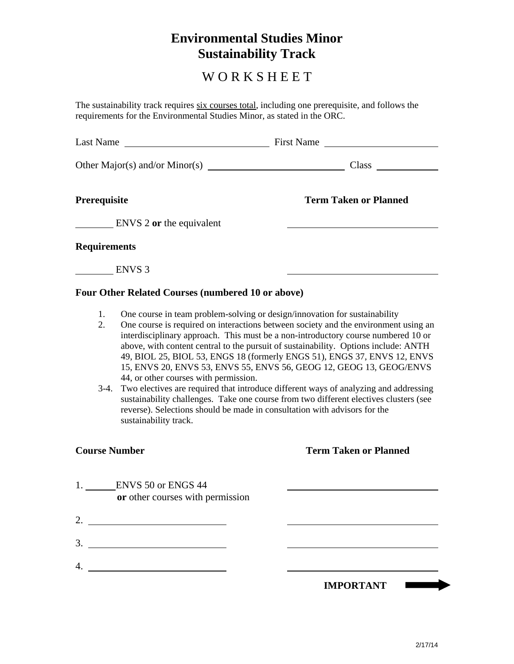# **Environmental Studies Minor Sustainability Track**

# W O R K S H E E T

The sustainability track requires six courses total, including one prerequisite, and follows the requirements for the Environmental Studies Minor, as stated in the ORC.

| Last Name                                                                                                                                                                                                                                                                                                                                         |                                                          | First Name                                                                 |
|---------------------------------------------------------------------------------------------------------------------------------------------------------------------------------------------------------------------------------------------------------------------------------------------------------------------------------------------------|----------------------------------------------------------|----------------------------------------------------------------------------|
|                                                                                                                                                                                                                                                                                                                                                   | Other Major(s) and/or Minor(s)                           | Class                                                                      |
| Prerequisite                                                                                                                                                                                                                                                                                                                                      |                                                          | <b>Term Taken or Planned</b>                                               |
|                                                                                                                                                                                                                                                                                                                                                   | ENVS 2 or the equivalent                                 |                                                                            |
| <b>Requirements</b>                                                                                                                                                                                                                                                                                                                               |                                                          |                                                                            |
|                                                                                                                                                                                                                                                                                                                                                   | ENVS <sub>3</sub>                                        |                                                                            |
|                                                                                                                                                                                                                                                                                                                                                   | <b>Four Other Related Courses (numbered 10 or above)</b> |                                                                            |
| 1.                                                                                                                                                                                                                                                                                                                                                |                                                          | One course in team problem-solving or design/innovation for sustainability |
| One course is required on interactions between society and the environment using an<br>2.<br>interdisciplinary approach. This must be a non-introductory course numbered 10 or<br>above, with content central to the pursuit of sustainability. Options include: ANTH<br>49, BIOL 25, BIOL 53, ENGS 18 (formerly ENGS 51), ENGS 37, ENVS 12, ENVS |                                                          |                                                                            |

44, or other courses with permission. 3-4. Two electives are required that introduce different ways of analyzing and addressing sustainability challenges. Take one course from two different electives clusters (see reverse). Selections should be made in consultation with advisors for the sustainability track.

15, ENVS 20, ENVS 53, ENVS 55, ENVS 56, GEOG 12, GEOG 13, GEOG/ENVS

## **Course Number Term Taken or Planned**

| ENVS 50 or ENGS 44<br>or other courses with permission |                  |
|--------------------------------------------------------|------------------|
| 2.                                                     |                  |
| $\mathfrak{Z}$                                         |                  |
| 4.                                                     |                  |
|                                                        | <b>IMPORTANT</b> |